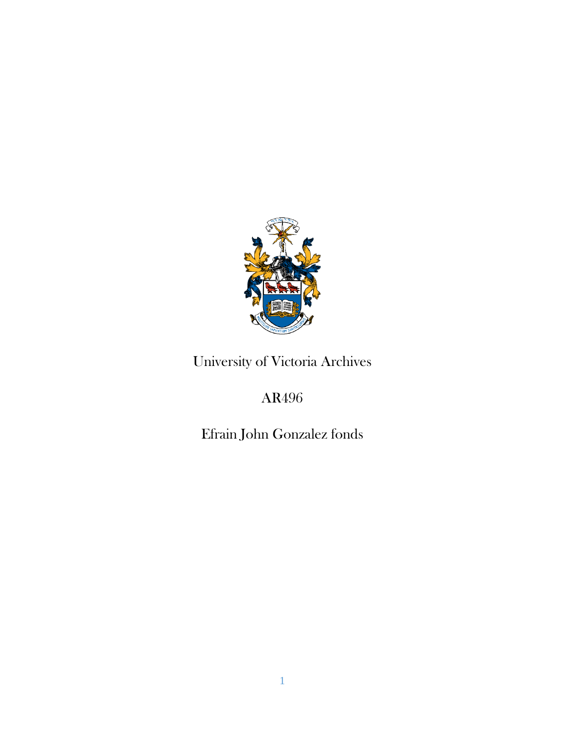

University of Victoria Archives

# AR496

Efrain John Gonzalez fonds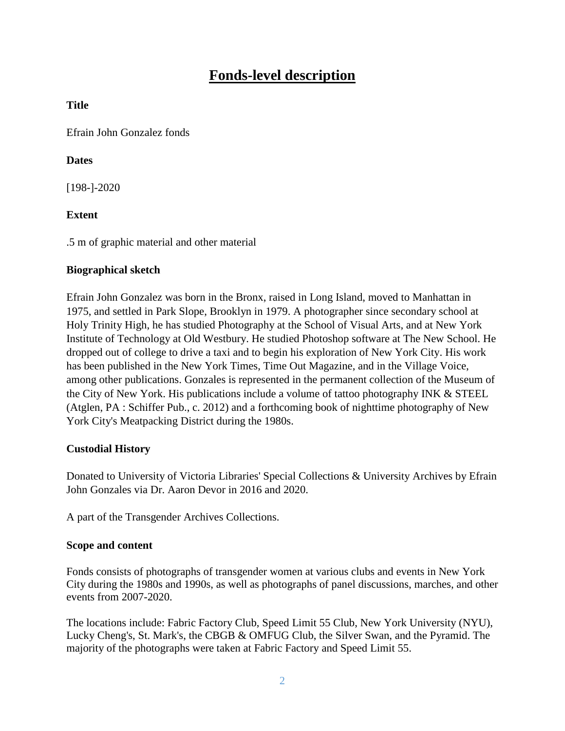# **Fonds-level description**

### **Title**

Efrain John Gonzalez fonds

### **Dates**

[198-]-2020

# **Extent**

.5 m of graphic material and other material

#### **Biographical sketch**

Efrain John Gonzalez was born in the Bronx, raised in Long Island, moved to Manhattan in 1975, and settled in Park Slope, Brooklyn in 1979. A photographer since secondary school at Holy Trinity High, he has studied Photography at the School of Visual Arts, and at New York Institute of Technology at Old Westbury. He studied Photoshop software at The New School. He dropped out of college to drive a taxi and to begin his exploration of New York City. His work has been published in the New York Times, Time Out Magazine, and in the Village Voice, among other publications. Gonzales is represented in the permanent collection of the Museum of the City of New York. His publications include a volume of tattoo photography INK & STEEL (Atglen, PA : Schiffer Pub., c. 2012) and a forthcoming book of nighttime photography of New York City's Meatpacking District during the 1980s.

#### **Custodial History**

Donated to University of Victoria Libraries' Special Collections & University Archives by Efrain John Gonzales via Dr. Aaron Devor in 2016 and 2020.

A part of the Transgender Archives Collections.

#### **Scope and content**

Fonds consists of photographs of transgender women at various clubs and events in New York City during the 1980s and 1990s, as well as photographs of panel discussions, marches, and other events from 2007-2020.

The locations include: Fabric Factory Club, Speed Limit 55 Club, New York University (NYU), Lucky Cheng's, St. Mark's, the CBGB & OMFUG Club, the Silver Swan, and the Pyramid. The majority of the photographs were taken at Fabric Factory and Speed Limit 55.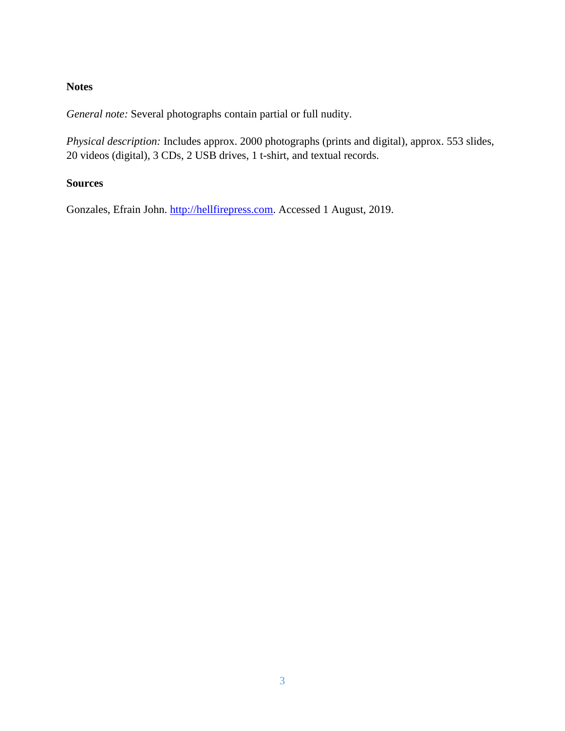#### **Notes**

*General note:* Several photographs contain partial or full nudity.

*Physical description:* Includes approx. 2000 photographs (prints and digital), approx. 553 slides, 20 videos (digital), 3 CDs, 2 USB drives, 1 t-shirt, and textual records.

#### **Sources**

Gonzales, Efrain John. [http://hellfirepress.com.](http://hellfirepress.com/) Accessed 1 August, 2019.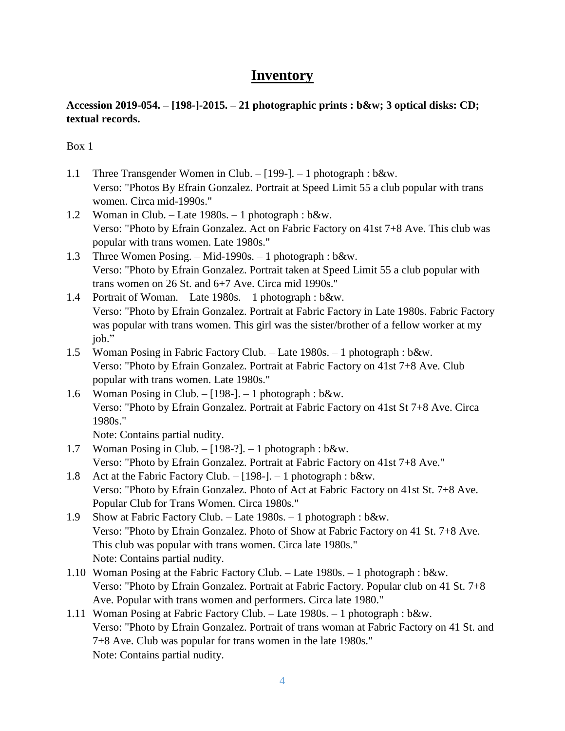# **Inventory**

# **Accession 2019-054. – [198-]-2015. – 21 photographic prints : b&w; 3 optical disks: CD; textual records.**

#### Box 1

- 1.1 Three Transgender Women in Club. [199-]. 1 photograph : b&w. Verso: "Photos By Efrain Gonzalez. Portrait at Speed Limit 55 a club popular with trans women. Circa mid-1990s."
- 1.2 Woman in Club. Late 1980s. 1 photograph : b&w. Verso: "Photo by Efrain Gonzalez. Act on Fabric Factory on 41st 7+8 Ave. This club was popular with trans women. Late 1980s."
- 1.3 Three Women Posing. Mid-1990s. 1 photograph : b&w. Verso: "Photo by Efrain Gonzalez. Portrait taken at Speed Limit 55 a club popular with trans women on 26 St. and 6+7 Ave. Circa mid 1990s."
- 1.4 Portrait of Woman. Late 1980s. 1 photograph : b&w. Verso: "Photo by Efrain Gonzalez. Portrait at Fabric Factory in Late 1980s. Fabric Factory was popular with trans women. This girl was the sister/brother of a fellow worker at my job."
- 1.5 Woman Posing in Fabric Factory Club. Late 1980s. 1 photograph : b&w. Verso: "Photo by Efrain Gonzalez. Portrait at Fabric Factory on 41st 7+8 Ave. Club popular with trans women. Late 1980s."
- 1.6 Woman Posing in Club. [198-]. 1 photograph : b&w. Verso: "Photo by Efrain Gonzalez. Portrait at Fabric Factory on 41st St 7+8 Ave. Circa 1980s."

Note: Contains partial nudity.

- 1.7 Woman Posing in Club. [198-?]. 1 photograph : b&w. Verso: "Photo by Efrain Gonzalez. Portrait at Fabric Factory on 41st 7+8 Ave."
- 1.8 Act at the Fabric Factory Club. [198-]. 1 photograph : b&w. Verso: "Photo by Efrain Gonzalez. Photo of Act at Fabric Factory on 41st St. 7+8 Ave. Popular Club for Trans Women. Circa 1980s."
- 1.9 Show at Fabric Factory Club. Late 1980s. 1 photograph : b&w. Verso: "Photo by Efrain Gonzalez. Photo of Show at Fabric Factory on 41 St. 7+8 Ave. This club was popular with trans women. Circa late 1980s." Note: Contains partial nudity.
- 1.10 Woman Posing at the Fabric Factory Club. Late 1980s. 1 photograph : b&w. Verso: "Photo by Efrain Gonzalez. Portrait at Fabric Factory. Popular club on 41 St. 7+8 Ave. Popular with trans women and performers. Circa late 1980."
- 1.11 Woman Posing at Fabric Factory Club. Late 1980s. 1 photograph : b&w. Verso: "Photo by Efrain Gonzalez. Portrait of trans woman at Fabric Factory on 41 St. and 7+8 Ave. Club was popular for trans women in the late 1980s." Note: Contains partial nudity.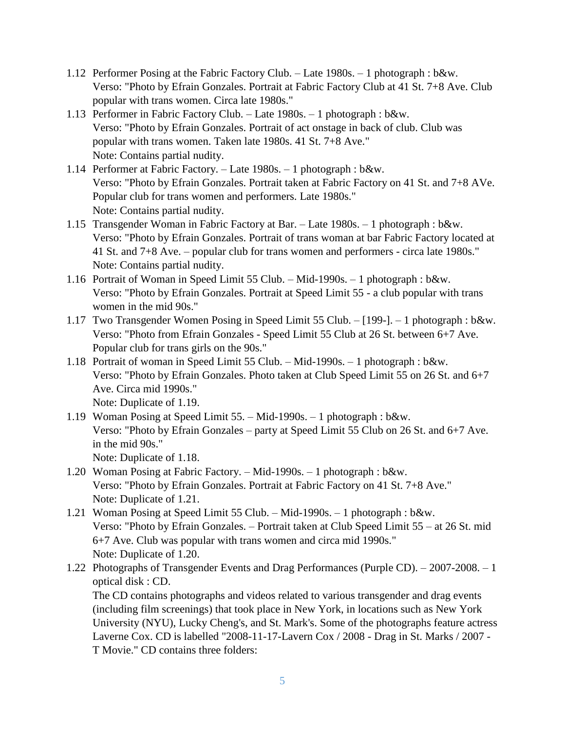- 1.12 Performer Posing at the Fabric Factory Club. Late 1980s. 1 photograph : b&w. Verso: "Photo by Efrain Gonzales. Portrait at Fabric Factory Club at 41 St. 7+8 Ave. Club popular with trans women. Circa late 1980s."
- 1.13 Performer in Fabric Factory Club. Late 1980s. 1 photograph : b&w. Verso: "Photo by Efrain Gonzales. Portrait of act onstage in back of club. Club was popular with trans women. Taken late 1980s. 41 St. 7+8 Ave." Note: Contains partial nudity.
- 1.14 Performer at Fabric Factory. Late 1980s. 1 photograph : b&w. Verso: "Photo by Efrain Gonzales. Portrait taken at Fabric Factory on 41 St. and 7+8 AVe. Popular club for trans women and performers. Late 1980s." Note: Contains partial nudity.
- 1.15 Transgender Woman in Fabric Factory at Bar. Late 1980s. 1 photograph : b&w. Verso: "Photo by Efrain Gonzales. Portrait of trans woman at bar Fabric Factory located at 41 St. and 7+8 Ave. – popular club for trans women and performers - circa late 1980s." Note: Contains partial nudity.
- 1.16 Portrait of Woman in Speed Limit 55 Club. Mid-1990s. 1 photograph : b&w. Verso: "Photo by Efrain Gonzales. Portrait at Speed Limit 55 - a club popular with trans women in the mid 90s."
- 1.17 Two Transgender Women Posing in Speed Limit 55 Club. [199-]. 1 photograph : b&w. Verso: "Photo from Efrain Gonzales - Speed Limit 55 Club at 26 St. between 6+7 Ave. Popular club for trans girls on the 90s."
- 1.18 Portrait of woman in Speed Limit 55 Club. Mid-1990s. 1 photograph : b&w. Verso: "Photo by Efrain Gonzales. Photo taken at Club Speed Limit 55 on 26 St. and 6+7 Ave. Circa mid 1990s." Note: Duplicate of 1.19.
- 1.19 Woman Posing at Speed Limit 55. Mid-1990s. 1 photograph : b&w. Verso: "Photo by Efrain Gonzales – party at Speed Limit 55 Club on 26 St. and 6+7 Ave. in the mid 90s." Note: Duplicate of 1.18.
- 1.20 Woman Posing at Fabric Factory. Mid-1990s. 1 photograph : b&w. Verso: "Photo by Efrain Gonzales. Portrait at Fabric Factory on 41 St. 7+8 Ave." Note: Duplicate of 1.21.
- 1.21 Woman Posing at Speed Limit 55 Club. Mid-1990s. 1 photograph : b&w. Verso: "Photo by Efrain Gonzales. – Portrait taken at Club Speed Limit 55 – at 26 St. mid 6+7 Ave. Club was popular with trans women and circa mid 1990s." Note: Duplicate of 1.20.
- 1.22 Photographs of Transgender Events and Drag Performances (Purple CD). 2007-2008. 1 optical disk : CD.

The CD contains photographs and videos related to various transgender and drag events (including film screenings) that took place in New York, in locations such as New York University (NYU), Lucky Cheng's, and St. Mark's. Some of the photographs feature actress Laverne Cox. CD is labelled "2008-11-17-Lavern Cox / 2008 - Drag in St. Marks / 2007 - T Movie." CD contains three folders: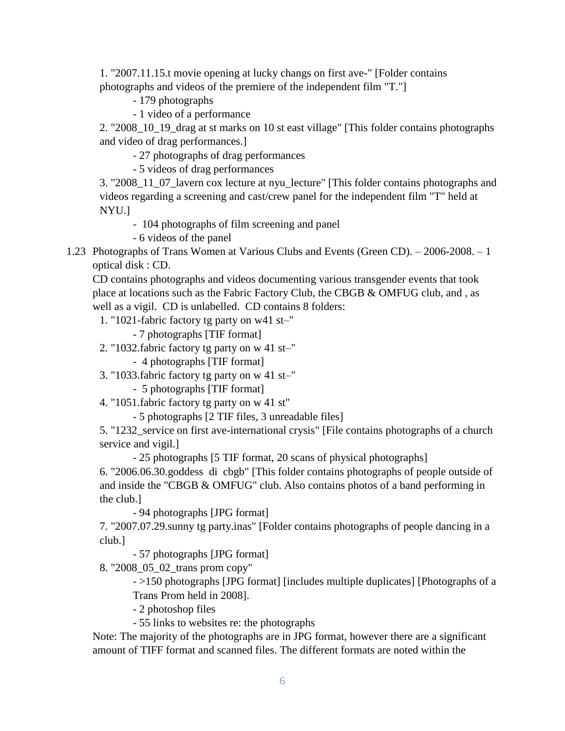1. "2007.11.15.t movie opening at lucky changs on first ave-" [Folder contains photographs and videos of the premiere of the independent film "T."]

- 179 photographs

- 1 video of a performance

2. "2008 10 19 drag at st marks on 10 st east village" [This folder contains photographs and video of drag performances.]

- 27 photographs of drag performances

- 5 videos of drag performances

3. "2008\_11\_07\_lavern cox lecture at nyu\_lecture" [This folder contains photographs and videos regarding a screening and cast/crew panel for the independent film "T" held at NYU.]

- 104 photographs of film screening and panel

- 6 videos of the panel

1.23 Photographs of Trans Women at Various Clubs and Events (Green CD). – 2006-2008. – 1 optical disk : CD.

CD contains photographs and videos documenting various transgender events that took place at locations such as the Fabric Factory Club, the CBGB & OMFUG club, and , as well as a vigil. CD is unlabelled. CD contains 8 folders:

1. "1021-fabric factory tg party on w41 st–"

- 7 photographs [TIF format]

2. "1032.fabric factory tg party on w 41 st–"

- 4 photographs [TIF format]

3. "1033.fabric factory tg party on w 41 st–"

- 5 photographs [TIF format]

4. "1051.fabric factory tg party on w 41 st"

- 5 photographs [2 TIF files, 3 unreadable files]

5. "1232\_service on first ave-international crysis" [File contains photographs of a church service and vigil.]

- 25 photographs [5 TIF format, 20 scans of physical photographs]

6. "2006.06.30.goddess di cbgb" [This folder contains photographs of people outside of and inside the "CBGB & OMFUG" club. Also contains photos of a band performing in the club.]

- 94 photographs [JPG format]

7. "2007.07.29.sunny tg party.inas" [Folder contains photographs of people dancing in a club.]

- 57 photographs [JPG format]

8. "2008\_05\_02\_trans prom copy"

- >150 photographs [JPG format] [includes multiple duplicates] [Photographs of a Trans Prom held in 2008].

- 2 photoshop files

- 55 links to websites re: the photographs

Note: The majority of the photographs are in JPG format, however there are a significant amount of TIFF format and scanned files. The different formats are noted within the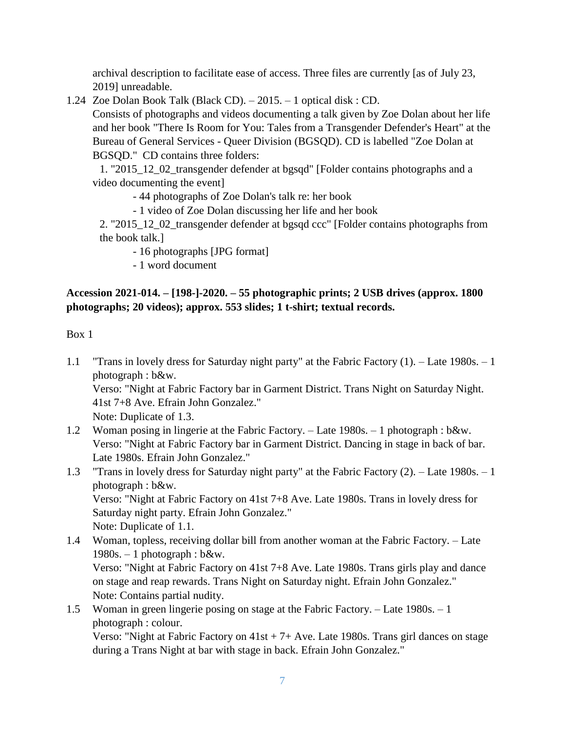archival description to facilitate ease of access. Three files are currently [as of July 23, 2019] unreadable.

1.24 Zoe Dolan Book Talk (Black CD). – 2015. – 1 optical disk : CD.

Consists of photographs and videos documenting a talk given by Zoe Dolan about her life and her book "There Is Room for You: Tales from a Transgender Defender's Heart" at the Bureau of General Services - Queer Division (BGSQD). CD is labelled "Zoe Dolan at BGSQD." CD contains three folders:

1. "2015\_12\_02\_transgender defender at bgsqd" [Folder contains photographs and a video documenting the event]

- 44 photographs of Zoe Dolan's talk re: her book

- 1 video of Zoe Dolan discussing her life and her book

2. "2015 12 02 transgender defender at bgsqd ccc" [Folder contains photographs from the book talk.]

- 16 photographs [JPG format]

- 1 word document

# **Accession 2021-014. – [198-]-2020. – 55 photographic prints; 2 USB drives (approx. 1800 photographs; 20 videos); approx. 553 slides; 1 t-shirt; textual records.**

# Box 1

1.1 "Trans in lovely dress for Saturday night party" at the Fabric Factory (1). – Late 1980s. – 1 photograph : b&w. Verso: "Night at Fabric Factory bar in Garment District. Trans Night on Saturday Night. 41st 7+8 Ave. Efrain John Gonzalez." Note: Duplicate of 1.3.

- 1.2 Woman posing in lingerie at the Fabric Factory. Late 1980s. 1 photograph : b&w. Verso: "Night at Fabric Factory bar in Garment District. Dancing in stage in back of bar. Late 1980s. Efrain John Gonzalez."
- 1.3 "Trans in lovely dress for Saturday night party" at the Fabric Factory (2). Late 1980s. 1 photograph : b&w. Verso: "Night at Fabric Factory on 41st 7+8 Ave. Late 1980s. Trans in lovely dress for Saturday night party. Efrain John Gonzalez."

Note: Duplicate of 1.1.

1.4 Woman, topless, receiving dollar bill from another woman at the Fabric Factory. – Late  $1980s - 1$  photograph : b&w. Verso: "Night at Fabric Factory on 41st 7+8 Ave. Late 1980s. Trans girls play and dance on stage and reap rewards. Trans Night on Saturday night. Efrain John Gonzalez."

Note: Contains partial nudity.

1.5 Woman in green lingerie posing on stage at the Fabric Factory. – Late 1980s. – 1 photograph : colour.

Verso: "Night at Fabric Factory on 41st + 7+ Ave. Late 1980s. Trans girl dances on stage during a Trans Night at bar with stage in back. Efrain John Gonzalez."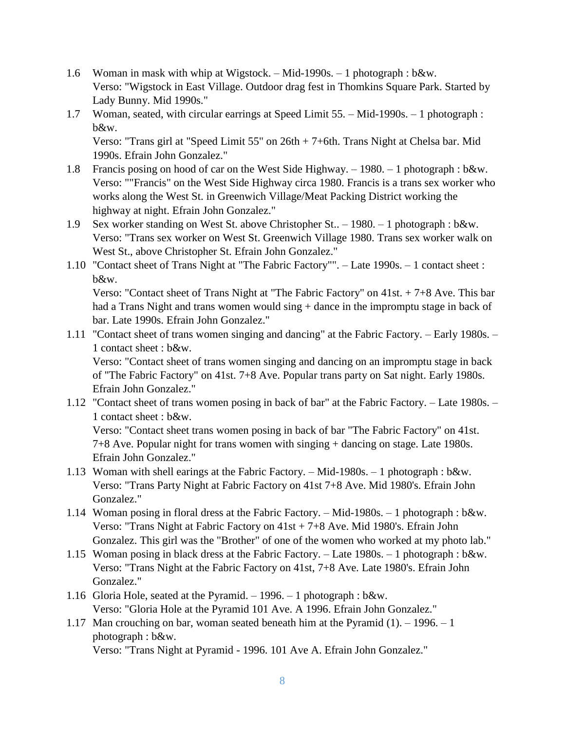- 1.6 Woman in mask with whip at Wigstock. Mid-1990s. 1 photograph : b&w. Verso: "Wigstock in East Village. Outdoor drag fest in Thomkins Square Park. Started by Lady Bunny. Mid 1990s."
- 1.7 Woman, seated, with circular earrings at Speed Limit 55. Mid-1990s. 1 photograph : b&w.

Verso: "Trans girl at "Speed Limit 55" on 26th + 7+6th. Trans Night at Chelsa bar. Mid 1990s. Efrain John Gonzalez."

- 1.8 Francis posing on hood of car on the West Side Highway. 1980. 1 photograph : b&w. Verso: ""Francis" on the West Side Highway circa 1980. Francis is a trans sex worker who works along the West St. in Greenwich Village/Meat Packing District working the highway at night. Efrain John Gonzalez."
- 1.9 Sex worker standing on West St. above Christopher St.. 1980. 1 photograph : b&w. Verso: "Trans sex worker on West St. Greenwich Village 1980. Trans sex worker walk on West St., above Christopher St. Efrain John Gonzalez."
- 1.10 "Contact sheet of Trans Night at "The Fabric Factory"". Late 1990s. 1 contact sheet : b&w. Verso: "Contact sheet of Trans Night at "The Fabric Factory" on 41st. + 7+8 Ave. This bar

had a Trans Night and trans women would sing + dance in the impromptu stage in back of bar. Late 1990s. Efrain John Gonzalez."

1.11 "Contact sheet of trans women singing and dancing" at the Fabric Factory. – Early 1980s. – 1 contact sheet : b&w.

Verso: "Contact sheet of trans women singing and dancing on an impromptu stage in back of "The Fabric Factory" on 41st. 7+8 Ave. Popular trans party on Sat night. Early 1980s. Efrain John Gonzalez."

1.12 "Contact sheet of trans women posing in back of bar" at the Fabric Factory. – Late 1980s. – 1 contact sheet : b&w.

Verso: "Contact sheet trans women posing in back of bar "The Fabric Factory" on 41st. 7+8 Ave. Popular night for trans women with singing + dancing on stage. Late 1980s. Efrain John Gonzalez."

- 1.13 Woman with shell earings at the Fabric Factory. Mid-1980s. 1 photograph : b&w. Verso: "Trans Party Night at Fabric Factory on 41st 7+8 Ave. Mid 1980's. Efrain John Gonzalez."
- 1.14 Woman posing in floral dress at the Fabric Factory. Mid-1980s. 1 photograph : b&w. Verso: "Trans Night at Fabric Factory on 41st + 7+8 Ave. Mid 1980's. Efrain John Gonzalez. This girl was the "Brother" of one of the women who worked at my photo lab."
- 1.15 Woman posing in black dress at the Fabric Factory. Late 1980s. 1 photograph : b&w. Verso: "Trans Night at the Fabric Factory on 41st, 7+8 Ave. Late 1980's. Efrain John Gonzalez."
- 1.16 Gloria Hole, seated at the Pyramid. 1996. 1 photograph : b&w. Verso: "Gloria Hole at the Pyramid 101 Ave. A 1996. Efrain John Gonzalez."
- 1.17 Man crouching on bar, woman seated beneath him at the Pyramid (1). 1996. 1 photograph : b&w.

Verso: "Trans Night at Pyramid - 1996. 101 Ave A. Efrain John Gonzalez."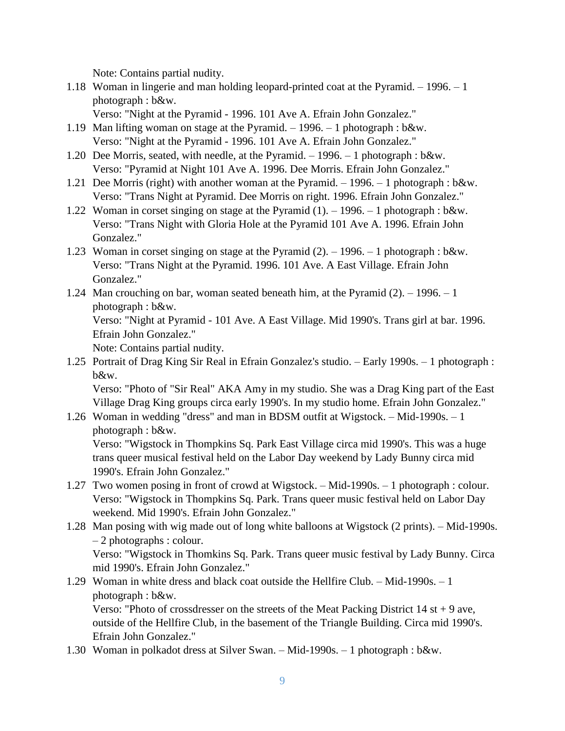Note: Contains partial nudity.

1.18 Woman in lingerie and man holding leopard-printed coat at the Pyramid. – 1996. – 1 photograph : b&w.

Verso: "Night at the Pyramid - 1996. 101 Ave A. Efrain John Gonzalez."

- 1.19 Man lifting woman on stage at the Pyramid. 1996. 1 photograph : b&w. Verso: "Night at the Pyramid - 1996. 101 Ave A. Efrain John Gonzalez."
- 1.20 Dee Morris, seated, with needle, at the Pyramid. 1996. 1 photograph : b&w. Verso: "Pyramid at Night 101 Ave A. 1996. Dee Morris. Efrain John Gonzalez."
- 1.21 Dee Morris (right) with another woman at the Pyramid. 1996. 1 photograph : b&w. Verso: "Trans Night at Pyramid. Dee Morris on right. 1996. Efrain John Gonzalez."
- 1.22 Woman in corset singing on stage at the Pyramid (1). 1996. 1 photograph : b&w. Verso: "Trans Night with Gloria Hole at the Pyramid 101 Ave A. 1996. Efrain John Gonzalez."
- 1.23 Woman in corset singing on stage at the Pyramid (2). 1996. 1 photograph : b&w. Verso: "Trans Night at the Pyramid. 1996. 101 Ave. A East Village. Efrain John Gonzalez."
- 1.24 Man crouching on bar, woman seated beneath him, at the Pyramid (2). 1996. 1 photograph : b&w. Verso: "Night at Pyramid - 101 Ave. A East Village. Mid 1990's. Trans girl at bar. 1996. Efrain John Gonzalez." Note: Contains partial nudity.
- 1.25 Portrait of Drag King Sir Real in Efrain Gonzalez's studio. Early 1990s. 1 photograph : b&w.

Verso: "Photo of "Sir Real" AKA Amy in my studio. She was a Drag King part of the East Village Drag King groups circa early 1990's. In my studio home. Efrain John Gonzalez."

1.26 Woman in wedding "dress" and man in BDSM outfit at Wigstock. – Mid-1990s. – 1 photograph : b&w.

Verso: "Wigstock in Thompkins Sq. Park East Village circa mid 1990's. This was a huge trans queer musical festival held on the Labor Day weekend by Lady Bunny circa mid 1990's. Efrain John Gonzalez."

- 1.27 Two women posing in front of crowd at Wigstock. Mid-1990s. 1 photograph : colour. Verso: "Wigstock in Thompkins Sq. Park. Trans queer music festival held on Labor Day weekend. Mid 1990's. Efrain John Gonzalez."
- 1.28 Man posing with wig made out of long white balloons at Wigstock (2 prints). Mid-1990s. – 2 photographs : colour. Verso: "Wigstock in Thomkins Sq. Park. Trans queer music festival by Lady Bunny. Circa mid 1990's. Efrain John Gonzalez."
- 1.29 Woman in white dress and black coat outside the Hellfire Club. Mid-1990s. 1 photograph : b&w.

Verso: "Photo of crossdresser on the streets of the Meat Packing District  $14$  st + 9 ave, outside of the Hellfire Club, in the basement of the Triangle Building. Circa mid 1990's. Efrain John Gonzalez."

1.30 Woman in polkadot dress at Silver Swan. – Mid-1990s. – 1 photograph : b&w.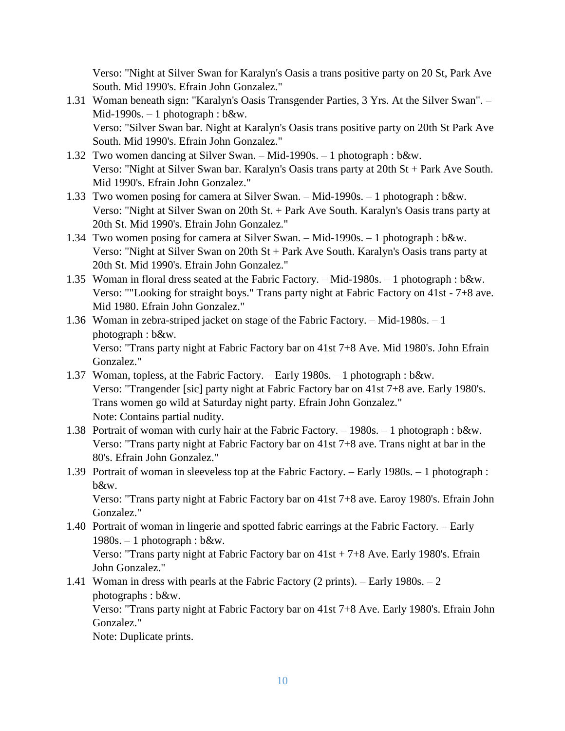Verso: "Night at Silver Swan for Karalyn's Oasis a trans positive party on 20 St, Park Ave South. Mid 1990's. Efrain John Gonzalez."

- 1.31 Woman beneath sign: "Karalyn's Oasis Transgender Parties, 3 Yrs. At the Silver Swan". Mid-1990s.  $-1$  photograph : b&w. Verso: "Silver Swan bar. Night at Karalyn's Oasis trans positive party on 20th St Park Ave South. Mid 1990's. Efrain John Gonzalez."
- 1.32 Two women dancing at Silver Swan. Mid-1990s. 1 photograph : b&w. Verso: "Night at Silver Swan bar. Karalyn's Oasis trans party at 20th St + Park Ave South. Mid 1990's. Efrain John Gonzalez."
- 1.33 Two women posing for camera at Silver Swan. Mid-1990s. 1 photograph : b&w. Verso: "Night at Silver Swan on 20th St. + Park Ave South. Karalyn's Oasis trans party at 20th St. Mid 1990's. Efrain John Gonzalez."
- 1.34 Two women posing for camera at Silver Swan. Mid-1990s. 1 photograph : b&w. Verso: "Night at Silver Swan on 20th St + Park Ave South. Karalyn's Oasis trans party at 20th St. Mid 1990's. Efrain John Gonzalez."
- 1.35 Woman in floral dress seated at the Fabric Factory. Mid-1980s. 1 photograph : b&w. Verso: ""Looking for straight boys." Trans party night at Fabric Factory on 41st - 7+8 ave. Mid 1980. Efrain John Gonzalez."
- 1.36 Woman in zebra-striped jacket on stage of the Fabric Factory. Mid-1980s. 1 photograph : b&w. Verso: "Trans party night at Fabric Factory bar on 41st 7+8 Ave. Mid 1980's. John Efrain Gonzalez."
- 1.37 Woman, topless, at the Fabric Factory. Early 1980s. 1 photograph : b&w. Verso: "Trangender [sic] party night at Fabric Factory bar on 41st 7+8 ave. Early 1980's. Trans women go wild at Saturday night party. Efrain John Gonzalez." Note: Contains partial nudity.
- 1.38 Portrait of woman with curly hair at the Fabric Factory. 1980s. 1 photograph : b&w. Verso: "Trans party night at Fabric Factory bar on 41st 7+8 ave. Trans night at bar in the 80's. Efrain John Gonzalez."
- 1.39 Portrait of woman in sleeveless top at the Fabric Factory. Early 1980s. 1 photograph : b&w.

Verso: "Trans party night at Fabric Factory bar on 41st 7+8 ave. Earoy 1980's. Efrain John Gonzalez."

- 1.40 Portrait of woman in lingerie and spotted fabric earrings at the Fabric Factory. Early  $1980s. - 1$  photograph : b&w. Verso: "Trans party night at Fabric Factory bar on 41st + 7+8 Ave. Early 1980's. Efrain John Gonzalez."
- 1.41 Woman in dress with pearls at the Fabric Factory (2 prints). Early 1980s. 2 photographs : b&w. Verso: "Trans party night at Fabric Factory bar on 41st 7+8 Ave. Early 1980's. Efrain John Gonzalez."

Note: Duplicate prints.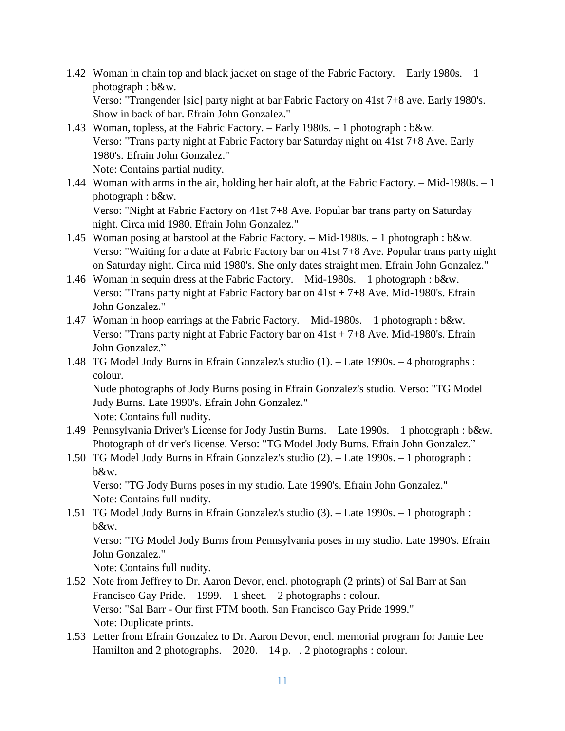- 1.42 Woman in chain top and black jacket on stage of the Fabric Factory. Early 1980s. 1 photograph : b&w. Verso: "Trangender [sic] party night at bar Fabric Factory on 41st 7+8 ave. Early 1980's. Show in back of bar. Efrain John Gonzalez."
- 1.43 Woman, topless, at the Fabric Factory. Early 1980s. 1 photograph : b&w. Verso: "Trans party night at Fabric Factory bar Saturday night on 41st 7+8 Ave. Early 1980's. Efrain John Gonzalez." Note: Contains partial nudity.
- 1.44 Woman with arms in the air, holding her hair aloft, at the Fabric Factory. Mid-1980s. 1 photograph : b&w. Verso: "Night at Fabric Factory on 41st 7+8 Ave. Popular bar trans party on Saturday night. Circa mid 1980. Efrain John Gonzalez."
- 1.45 Woman posing at barstool at the Fabric Factory. Mid-1980s. 1 photograph : b&w. Verso: "Waiting for a date at Fabric Factory bar on 41st 7+8 Ave. Popular trans party night on Saturday night. Circa mid 1980's. She only dates straight men. Efrain John Gonzalez."
- 1.46 Woman in sequin dress at the Fabric Factory. Mid-1980s. 1 photograph : b&w. Verso: "Trans party night at Fabric Factory bar on 41st + 7+8 Ave. Mid-1980's. Efrain John Gonzalez."
- 1.47 Woman in hoop earrings at the Fabric Factory. Mid-1980s. 1 photograph : b&w. Verso: "Trans party night at Fabric Factory bar on 41st + 7+8 Ave. Mid-1980's. Efrain John Gonzalez."
- 1.48 TG Model Jody Burns in Efrain Gonzalez's studio (1). Late 1990s. 4 photographs : colour. Nude photographs of Jody Burns posing in Efrain Gonzalez's studio. Verso: "TG Model Judy Burns. Late 1990's. Efrain John Gonzalez." Note: Contains full nudity.
- 1.49 Pennsylvania Driver's License for Jody Justin Burns. Late 1990s. 1 photograph : b&w. Photograph of driver's license. Verso: "TG Model Jody Burns. Efrain John Gonzalez."
- 1.50 TG Model Jody Burns in Efrain Gonzalez's studio (2). Late 1990s. 1 photograph : b&w.

Verso: "TG Jody Burns poses in my studio. Late 1990's. Efrain John Gonzalez." Note: Contains full nudity.

1.51 TG Model Jody Burns in Efrain Gonzalez's studio (3). – Late 1990s. – 1 photograph : b&w.

Verso: "TG Model Jody Burns from Pennsylvania poses in my studio. Late 1990's. Efrain John Gonzalez."

Note: Contains full nudity.

- 1.52 Note from Jeffrey to Dr. Aaron Devor, encl. photograph (2 prints) of Sal Barr at San Francisco Gay Pride.  $-1999. - 1$  sheet.  $-2$  photographs : colour. Verso: "Sal Barr - Our first FTM booth. San Francisco Gay Pride 1999." Note: Duplicate prints.
- 1.53 Letter from Efrain Gonzalez to Dr. Aaron Devor, encl. memorial program for Jamie Lee Hamilton and 2 photographs.  $-2020 - 14$  p.  $-$ , 2 photographs : colour.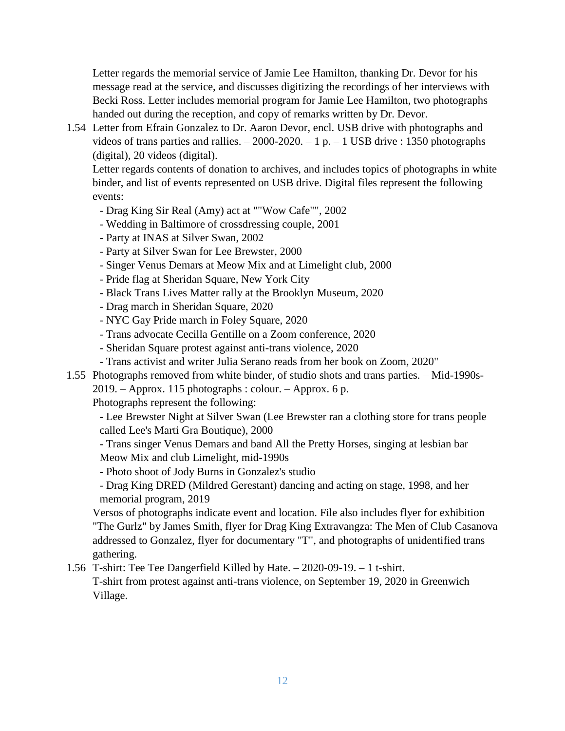Letter regards the memorial service of Jamie Lee Hamilton, thanking Dr. Devor for his message read at the service, and discusses digitizing the recordings of her interviews with Becki Ross. Letter includes memorial program for Jamie Lee Hamilton, two photographs handed out during the reception, and copy of remarks written by Dr. Devor.

1.54 Letter from Efrain Gonzalez to Dr. Aaron Devor, encl. USB drive with photographs and videos of trans parties and rallies.  $-2000-2020$ .  $-1$  p.  $-1$  USB drive : 1350 photographs (digital), 20 videos (digital).

Letter regards contents of donation to archives, and includes topics of photographs in white binder, and list of events represented on USB drive. Digital files represent the following events:

- Drag King Sir Real (Amy) act at ""Wow Cafe"", 2002
- Wedding in Baltimore of crossdressing couple, 2001
- Party at INAS at Silver Swan, 2002
- Party at Silver Swan for Lee Brewster, 2000
- Singer Venus Demars at Meow Mix and at Limelight club, 2000
- Pride flag at Sheridan Square, New York City
- Black Trans Lives Matter rally at the Brooklyn Museum, 2020
- Drag march in Sheridan Square, 2020
- NYC Gay Pride march in Foley Square, 2020
- Trans advocate Cecilla Gentille on a Zoom conference, 2020
- Sheridan Square protest against anti-trans violence, 2020
- Trans activist and writer Julia Serano reads from her book on Zoom, 2020"
- 1.55 Photographs removed from white binder, of studio shots and trans parties. Mid-1990s-

2019. – Approx. 115 photographs : colour. – Approx. 6 p.

Photographs represent the following:

- Lee Brewster Night at Silver Swan (Lee Brewster ran a clothing store for trans people called Lee's Marti Gra Boutique), 2000

- Trans singer Venus Demars and band All the Pretty Horses, singing at lesbian bar Meow Mix and club Limelight, mid-1990s

- Photo shoot of Jody Burns in Gonzalez's studio

- Drag King DRED (Mildred Gerestant) dancing and acting on stage, 1998, and her memorial program, 2019

Versos of photographs indicate event and location. File also includes flyer for exhibition "The Gurlz" by James Smith, flyer for Drag King Extravangza: The Men of Club Casanova addressed to Gonzalez, flyer for documentary "T", and photographs of unidentified trans gathering.

1.56 T-shirt: Tee Tee Dangerfield Killed by Hate. – 2020-09-19. – 1 t-shirt. T-shirt from protest against anti-trans violence, on September 19, 2020 in Greenwich Village.